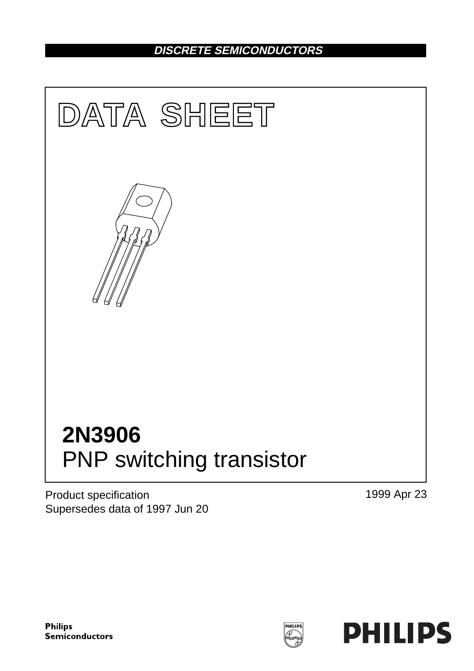## **DISCRETE SEMICONDUCTORS**



Product specification Supersedes data of 1997 Jun 20 1999 Apr 23

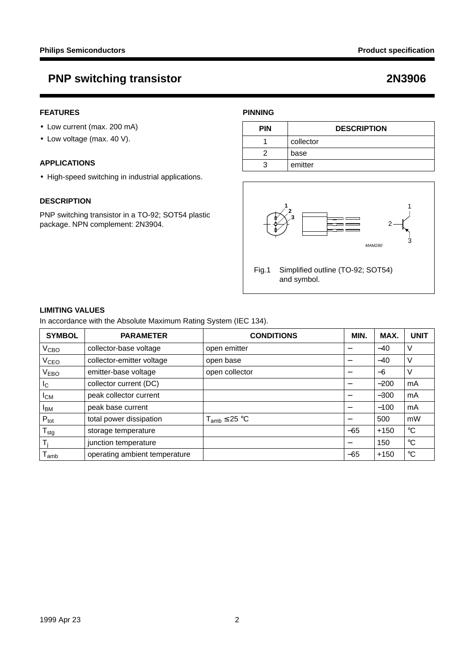#### **FEATURES**

- Low current (max. 200 mA)
- Low voltage (max. 40 V).

#### **APPLICATIONS**

• High-speed switching in industrial applications.

#### **DESCRIPTION**

PNP switching transistor in a TO-92; SOT54 plastic package. NPN complement: 2N3904.

### **PINNING**

| <b>PIN</b> | <b>DESCRIPTION</b> |
|------------|--------------------|
|            | collector          |
|            | base               |
|            | emitter            |



### **LIMITING VALUES**

In accordance with the Absolute Maximum Rating System (IEC 134).

| <b>SYMBOL</b>          | <b>PARAMETER</b>              | <b>CONDITIONS</b>    | MIN.  | MAX.   | <b>UNIT</b> |
|------------------------|-------------------------------|----------------------|-------|--------|-------------|
| V <sub>CBO</sub>       | collector-base voltage        | open emitter         |       | $-40$  | V           |
| V <sub>CEO</sub>       | collector-emitter voltage     | open base            |       | $-40$  | V           |
| <b>VEBO</b>            | emitter-base voltage          | open collector       | –     | $-6$   | V           |
| Ιc                     | collector current (DC)        |                      | —     | $-200$ | mA          |
| <b>I</b> <sub>CM</sub> | peak collector current        |                      |       | $-300$ | mA          |
| <b>I</b> BM            | peak base current             |                      |       | $-100$ | mA          |
| $P_{\text{tot}}$       | total power dissipation       | $T_{amb} \leq 25 °C$ | —     | 500    | mW          |
| ${\sf T}_{\sf stg}$    | storage temperature           |                      | $-65$ | $+150$ | $^{\circ}C$ |
| T,                     | junction temperature          |                      | —     | 150    | $^{\circ}C$ |
| l amb                  | operating ambient temperature |                      | $-65$ | $+150$ | $^{\circ}C$ |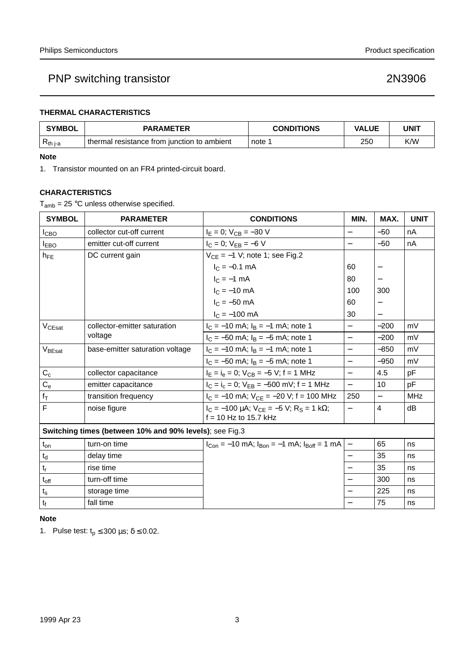### **THERMAL CHARACTERISTICS**

| <b>SYMBOL</b> | <b>PARAMETER</b>                            | <b>CONDITIONS</b> | <b>VALUE</b> | <b>UNIT</b> |
|---------------|---------------------------------------------|-------------------|--------------|-------------|
| $R_{th\,j-a}$ | thermal resistance from junction to ambient | , note 1          | 250          | K/W         |

#### **Note**

1. Transistor mounted on an FR4 printed-circuit board.

### **CHARACTERISTICS**

 $T_{amb}$  = 25 °C unless otherwise specified.

| <b>SYMBOL</b>                                           | <b>PARAMETER</b>                | <b>CONDITIONS</b>                                                                     | MIN.                     | MAX.                     | <b>UNIT</b> |
|---------------------------------------------------------|---------------------------------|---------------------------------------------------------------------------------------|--------------------------|--------------------------|-------------|
| I <sub>СВО</sub>                                        | collector cut-off current       | $I_E = 0$ ; $V_{CB} = -30$ V                                                          | $\overline{\phantom{0}}$ | $-50$                    | nA          |
| <b>I</b> <sub>EBO</sub>                                 | emitter cut-off current         | $I_C = 0$ ; $V_{EB} = -6$ V                                                           | $\overline{\phantom{0}}$ | $-50$                    | nA          |
| $h_{FE}$                                                | DC current gain                 | $V_{CE} = -1$ V; note 1; see Fig.2                                                    |                          |                          |             |
|                                                         |                                 | $I_C = -0.1$ mA                                                                       | 60                       | —                        |             |
|                                                         |                                 | $I_C = -1$ mA                                                                         | 80                       | —                        |             |
|                                                         |                                 | $I_C = -10$ mA                                                                        | 100                      | 300                      |             |
|                                                         |                                 | $I_C = -50$ mA                                                                        | 60                       | —                        |             |
|                                                         |                                 | $I_C = -100$ mA                                                                       | 30                       |                          |             |
| $V_{CEsat}$                                             | collector-emitter saturation    | $I_C = -10$ mA; $I_B = -1$ mA; note 1                                                 | $\overline{\phantom{0}}$ | $-200$                   | mV          |
|                                                         | voltage                         | $I_C = -50$ mA; $I_B = -5$ mA; note 1                                                 | $\overline{\phantom{0}}$ | $-200$                   | mV          |
| V <sub>BEsat</sub>                                      | base-emitter saturation voltage | $I_C = -10$ mA; $I_B = -1$ mA; note 1                                                 | $\overline{\phantom{0}}$ | $-850$                   | mV          |
|                                                         |                                 | $I_C = -50$ mA; $I_B = -5$ mA; note 1                                                 | $\overline{\phantom{0}}$ | $-950$                   | mV          |
| $C_c$                                                   | collector capacitance           | $I_E = I_e = 0$ ; $V_{CB} = -5$ V; f = 1 MHz                                          | $\equiv$                 | 4.5                      | pF          |
| $C_{e}$                                                 | emitter capacitance             | $I_C = I_c = 0$ ; $V_{EB} = -500$ mV; f = 1 MHz                                       | $\qquad \qquad -$        | 10                       | pF          |
| $f_{\mathsf{T}}$                                        | transition frequency            | $I_C = -10$ mA; $V_{CE} = -20$ V; f = 100 MHz                                         | 250                      | $\overline{\phantom{0}}$ | <b>MHz</b>  |
| $\overline{\mathsf{F}}$                                 | noise figure                    | $I_C = -100 \mu A$ ; $V_{CE} = -5 V$ ; $R_S = 1 k\Omega$ ;<br>$f = 10$ Hz to 15.7 kHz | $\qquad \qquad -$        | 4                        | dB          |
| Switching times (between 10% and 90% levels); see Fig.3 |                                 |                                                                                       |                          |                          |             |
| $t_{on}$                                                | turn-on time                    | $I_{Con} = -10$ mA; $I_{Bon} = -1$ mA; $I_{Boff} = 1$ mA                              | $\overline{\phantom{0}}$ | 65                       | ns          |
| $\mathfrak{t}_{\rm d}$                                  | delay time                      |                                                                                       | $\qquad \qquad -$        | 35                       | ns          |
| $\mathsf{t}_\mathsf{r}$                                 | rise time                       |                                                                                       |                          | 35                       | ns          |
| $t_{\rm off}$                                           | turn-off time                   |                                                                                       |                          | 300                      | ns          |
| $t_{\rm s}$                                             | storage time                    |                                                                                       |                          | 225                      | ns          |
| $t_{\rm f}$                                             | fall time                       |                                                                                       |                          | 75                       | ns          |

#### **Note**

1. Pulse test:  $t_p \le 300 \,\mu s$ ;  $\delta \le 0.02$ .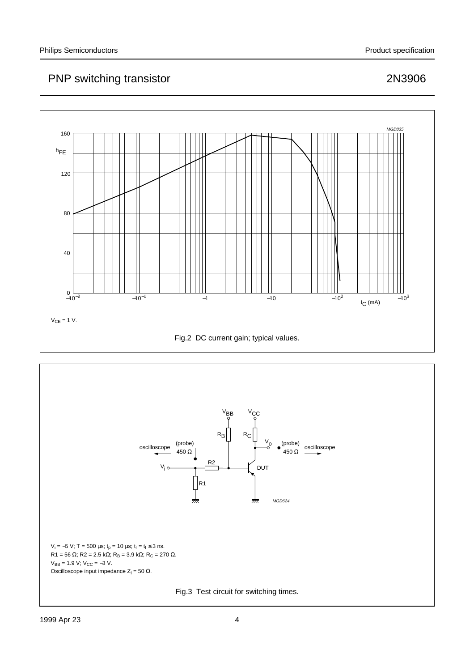



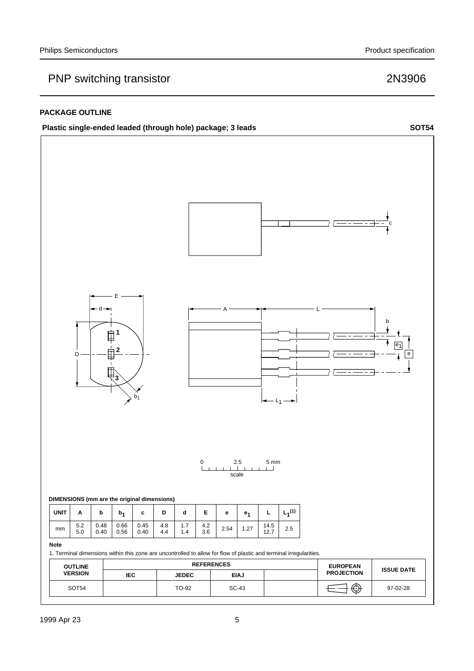#### **PACKAGE OUTLINE**



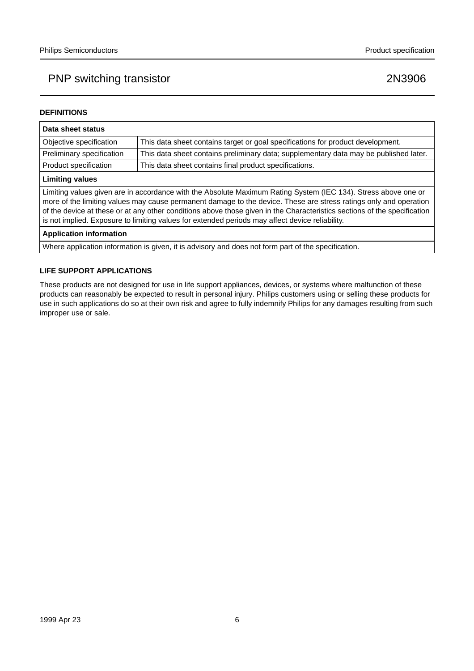#### **DEFINITIONS**

| Data sheet status                                                                                                                                                                                                                                                                                                                                                                                                                                                  |                                                                                       |  |
|--------------------------------------------------------------------------------------------------------------------------------------------------------------------------------------------------------------------------------------------------------------------------------------------------------------------------------------------------------------------------------------------------------------------------------------------------------------------|---------------------------------------------------------------------------------------|--|
| Objective specification                                                                                                                                                                                                                                                                                                                                                                                                                                            | This data sheet contains target or goal specifications for product development.       |  |
| Preliminary specification                                                                                                                                                                                                                                                                                                                                                                                                                                          | This data sheet contains preliminary data; supplementary data may be published later. |  |
| Product specification                                                                                                                                                                                                                                                                                                                                                                                                                                              | This data sheet contains final product specifications.                                |  |
| <b>Limiting values</b>                                                                                                                                                                                                                                                                                                                                                                                                                                             |                                                                                       |  |
| Limiting values given are in accordance with the Absolute Maximum Rating System (IEC 134). Stress above one or<br>more of the limiting values may cause permanent damage to the device. These are stress ratings only and operation<br>of the device at these or at any other conditions above those given in the Characteristics sections of the specification<br>is not implied. Exposure to limiting values for extended periods may affect device reliability. |                                                                                       |  |
| <b>Application information</b>                                                                                                                                                                                                                                                                                                                                                                                                                                     |                                                                                       |  |
|                                                                                                                                                                                                                                                                                                                                                                                                                                                                    |                                                                                       |  |

Where application information is given, it is advisory and does not form part of the specification.

#### **LIFE SUPPORT APPLICATIONS**

These products are not designed for use in life support appliances, devices, or systems where malfunction of these products can reasonably be expected to result in personal injury. Philips customers using or selling these products for use in such applications do so at their own risk and agree to fully indemnify Philips for any damages resulting from such improper use or sale.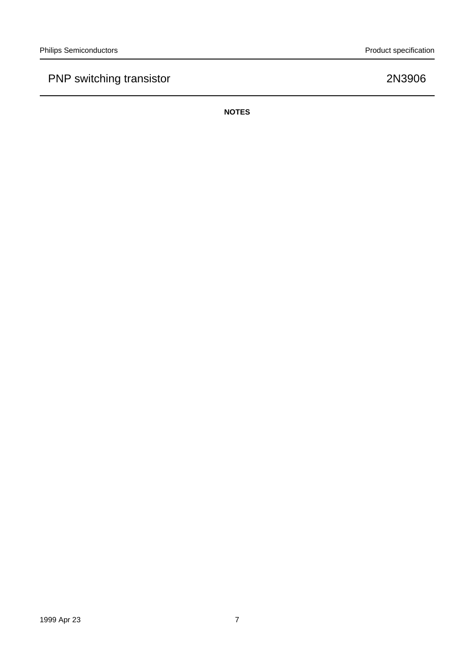**NOTES**